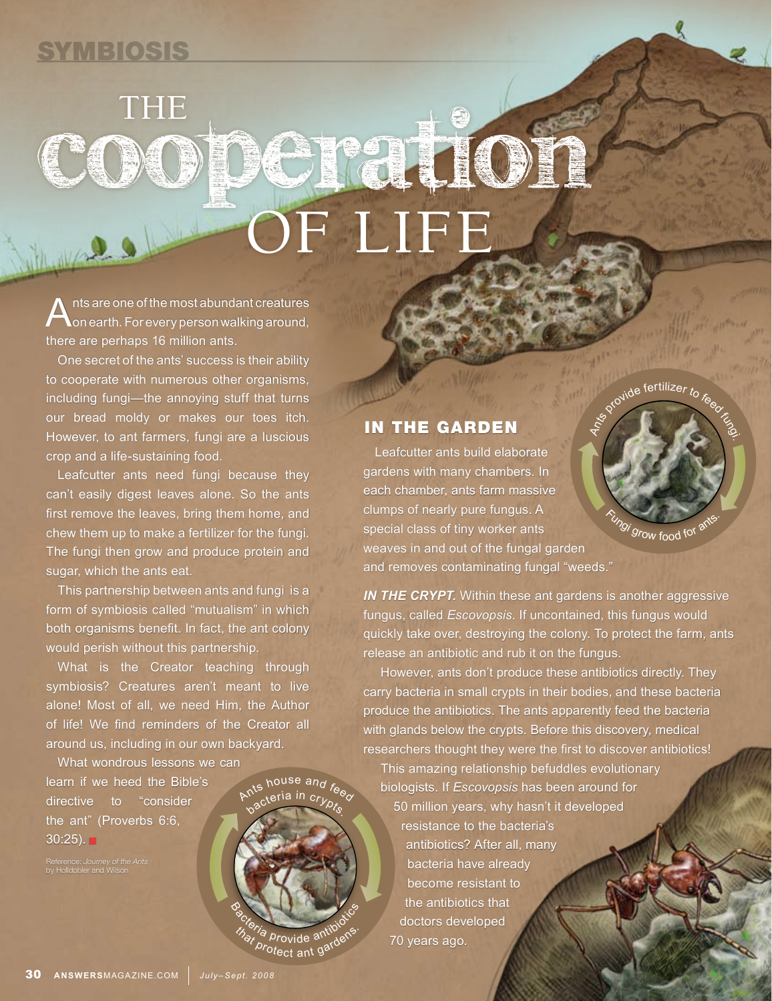## **SYMBIOSIS**

## THE COOPGITOT **OF LIFE**

 $\bigwedge$ nts are one of the most abundant creatures<br> $\bigwedge$ on earth. For every person walking around, there are perhaps 16 million ants.

One secret of the ants' success is their ability to cooperate with numerous other organisms, including fungi—the annoying stuff that turns our bread moldy or makes our toes itch. However, to ant farmers, fungi are a luscious crop and a life-sustaining food.

Leafcutter ants need fungi because they can't easily digest leaves alone. So the ants first remove the leaves, bring them home, and chew them up to make a fertilizer for the fungi. The fungi then grow and produce protein and sugar, which the ants eat.

This partnership between ants and fungi is a form of symbiosis called "mutualism" in which both organisms benefit. In fact, the ant colony would perish without this partnership.

What is the Creator teaching through symbiosis? Creatures aren't meant to live alone! Most of all, we need Him, the Author of life! We find reminders of the Creator all around us, including in our own backyard.

 $\lambda$ nts house and

 $\overline{\mathsf{c}_{\mathsf{r}}}_\mathsf{r}$ in c $\overline{\mathsf{c}_{\mathsf{r}}}_\mathsf{r}$ 

B<sub>orteria</sub> provide antibiotic<sup>s</sup>

that provide antiplens.<br>*Protect ant gardens* 

What wondrous lessons we can learn if we heed the Bible's directive to "consider the ant" (Proverbs 6:6,  $30:25$ ).

IN THE GARDEN

Leafcutter ants build elaborate gardens with many chambers. In each chamber, ants farm massive clumps of nearly pure fungus. A special class of tiny worker ants weaves in and out of the fungal garden and removes contaminating fungal "weeds."

*IN THE CRYPT.* Within these ant gardens is another aggressive fungus, called *Escovopsis*. If uncontained, this fungus would quickly take over, destroying the colony. To protect the farm, ants release an antibiotic and rub it on the fungus.

 $\delta^{q}$  and fertilizer to  $\delta$ 

<sup>7</sup>gi grow food for a<sup>nd</sup>

However, ants don't produce these antibiotics directly. They carry bacteria in small crypts in their bodies, and these bacteria produce the antibiotics. The ants apparently feed the bacteria with glands below the crypts. Before this discovery, medical researchers thought they were the first to discover antibiotics!

This amazing relationship befuddles evolutionary biologists. If *Escovopsis* has been around for 50 million years, why hasn't it developed resistance to the bacteria's antibiotics? After all, many bacteria have already become resistant to the antibiotics that doctors developed 70 years ago.